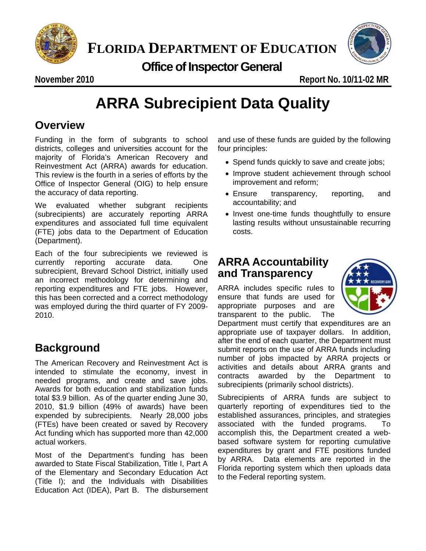

**FLORIDA DEPARTMENT OF EDUCATION**<br>Office of Inspector General



 **Office of Inspector General**

**November 2010 Report No. 10/11-02 MR** 

# **ARRA Subrecipient Data Quality**

## **Overview**

Funding in the form of subgrants to school districts, colleges and universities account for the majority of Florida's American Recovery and Reinvestment Act (ARRA) awards for education. This review is the fourth in a series of efforts by the Office of Inspector General (OIG) to help ensure the accuracy of data reporting.

We evaluated whether subgrant recipients (subrecipients) are accurately reporting ARRA expenditures and associated full time equivalent (FTE) jobs data to the Department of Education (Department).

Each of the four subrecipients we reviewed is currently reporting accurate data. One subrecipient, Brevard School District, initially used an incorrect methodology for determining and reporting expenditures and FTE jobs. However, this has been corrected and a correct methodology was employed during the third quarter of FY 2009- 2010.

## **Background**

The American Recovery and Reinvestment Act is intended to stimulate the economy, invest in needed programs, and create and save jobs. Awards for both education and stabilization funds total \$3.9 billion. As of the quarter ending June 30, 2010, \$1.9 billion (49% of awards) have been expended by subrecipients. Nearly 28,000 jobs (FTEs) have been created or saved by Recovery Act funding which has supported more than 42,000 actual workers.

Most of the Department's funding has been awarded to State Fiscal Stabilization, Title I, Part A of the Elementary and Secondary Education Act (Title I); and the Individuals with Disabilities Education Act (IDEA), Part B. The disbursement and use of these funds are guided by the following four principles:

- Spend funds quickly to save and create jobs;
- Improve student achievement through school improvement and reform;
- Ensure transparency, reporting, and accountability; and
- Invest one-time funds thoughtfully to ensure lasting results without unsustainable recurring costs.

## **ARRA Accountability and Transparency**

ARRA includes specific rules to ensure that funds are used for appropriate purposes and are transparent to the public. The



Department must certify that expenditures are an appropriate use of taxpayer dollars. In addition, after the end of each quarter, the Department must submit reports on the use of ARRA funds including number of jobs impacted by ARRA projects or activities and details about ARRA grants and contracts awarded by the Department to subrecipients (primarily school districts).

Subrecipients of ARRA funds are subject to quarterly reporting of expenditures tied to the established assurances, principles, and strategies associated with the funded programs. To accomplish this, the Department created a webbased software system for reporting cumulative expenditures by grant and FTE positions funded by ARRA. Data elements are reported in the Florida reporting system which then uploads data to the Federal reporting system.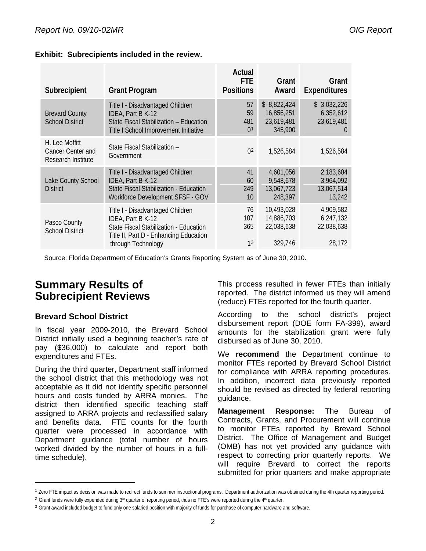| Subrecipient                                              | <b>Grant Program</b>                                                                                                                                            | Actual<br><b>FTE</b><br><b>Positions</b> | Grant<br>Award                                     | Grant<br><b>Expenditures</b>                               |
|-----------------------------------------------------------|-----------------------------------------------------------------------------------------------------------------------------------------------------------------|------------------------------------------|----------------------------------------------------|------------------------------------------------------------|
| <b>Brevard County</b><br><b>School District</b>           | Title I - Disadvantaged Children<br>IDEA, Part B K-12<br>State Fiscal Stabilization - Education<br>Title I School Improvement Initiative                        | 57<br>59<br>481<br>0 <sup>1</sup>        | \$8,822,424<br>16,856,251<br>23,619,481<br>345,900 | \$3,032,226<br>6,352,612<br>23,619,481<br>$\left( \right)$ |
| H. Lee Moffitt<br>Cancer Center and<br>Research Institute | State Fiscal Stabilization -<br>Government                                                                                                                      | 0 <sup>2</sup>                           | 1,526,584                                          | 1,526,584                                                  |
| Lake County School<br><b>District</b>                     | Title I - Disadvantaged Children<br>IDEA, Part B K-12<br>State Fiscal Stabilization - Education<br>Workforce Development SFSF - GOV                             | 41<br>60<br>249<br>10                    | 4,601,056<br>9,548,678<br>13,067,723<br>248,397    | 2,183,604<br>3,964,092<br>13,067,514<br>13,242             |
| Pasco County<br><b>School District</b>                    | Title I - Disadvantaged Children<br>IDEA, Part B K-12<br>State Fiscal Stabilization - Education<br>Title II, Part D - Enhancing Education<br>through Technology | 76<br>107<br>365<br>1 <sup>3</sup>       | 10,493,028<br>14,886,703<br>22,038,638<br>329,746  | 4,909,582<br>6,247,132<br>22,038,638<br>28,172             |

#### **Exhibit: Subrecipients included in the review.**

Source: Florida Department of Education's Grants Reporting System as of June 30, 2010.

### **Summary Results of Subrecipient Reviews**

#### **Brevard School District**

l

In fiscal year 2009-2010, the Brevard School District initially used a beginning teacher's rate of pay (\$36,000) to calculate and report both expenditures and FTEs.

During the third quarter, Department staff informed the school district that this methodology was not acceptable as it did not identify specific personnel hours and costs funded by ARRA monies. The district then identified specific teaching staff assigned to ARRA projects and reclassified salary and benefits data. FTE counts for the fourth quarter were processed in accordance with Department guidance (total number of hours worked divided by the number of hours in a fulltime schedule).

This process resulted in fewer FTEs than initially reported. The district informed us they will amend (reduce) FTEs reported for the fourth quarter.

According to the school district's project disbursement report (DOE form FA-399), award amounts for the stabilization grant were fully disbursed as of June 30, 2010.

We **recommend** the Department continue to monitor FTEs reported by Brevard School District for compliance with ARRA reporting procedures. In addition, incorrect data previously reported should be revised as directed by federal reporting guidance.

**Management Response:** The Bureau of Contracts, Grants, and Procurement will continue to monitor FTEs reported by Brevard School District. The Office of Management and Budget (OMB) has not yet provided any guidance with respect to correcting prior quarterly reports. We will require Brevard to correct the reports submitted for prior quarters and make appropriate

<span id="page-1-0"></span><sup>&</sup>lt;sup>1</sup> Zero FTE impact as decision was made to redirect funds to summer instructional programs. Department authorization was obtained during the 4th quarter reporting period.

<span id="page-1-1"></span><sup>&</sup>lt;sup>2</sup> Grant funds were fully expended during 3<sup>rd</sup> quarter of reporting period, thus no FTE's were reported during the 4<sup>th</sup> quarter.

<span id="page-1-2"></span><sup>&</sup>lt;sup>3</sup> Grant award included budget to fund only one salaried position with majority of funds for purchase of computer hardware and software.